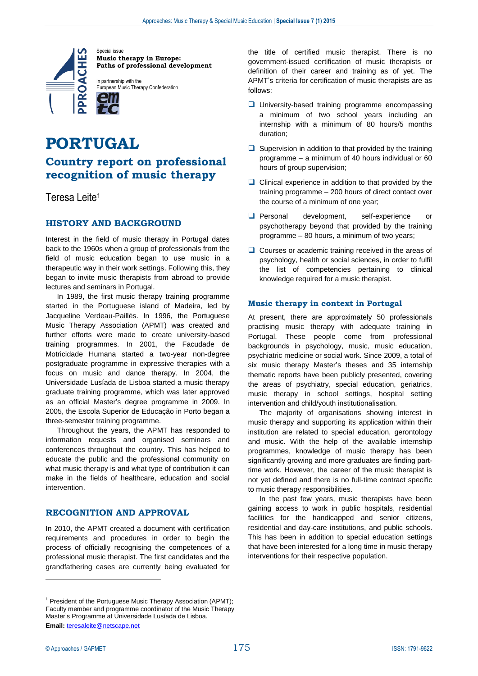

**Music therapy in Europe: Paths of professional development**

European Music Therapy Confederation

# **PORTUGAL**

# **Country report on professional recognition of music therapy**

Teresa Leite<sup>1</sup>

# **HISTORY AND BACKGROUND**

Interest in the field of music therapy in Portugal dates back to the 1960s when a group of professionals from the field of music education began to use music in a therapeutic way in their work settings. Following this, they began to invite music therapists from abroad to provide lectures and seminars in Portugal.

In 1989, the first music therapy training programme started in the Portuguese island of Madeira, led by Jacqueline Verdeau-Paillés. In 1996, the Portuguese Music Therapy Association (APMT) was created and further efforts were made to create university-based training programmes. In 2001, the Facudade de Motricidade Humana started a two-year non-degree postgraduate programme in expressive therapies with a focus on music and dance therapy. In 2004, the Universidade Lusíada de Lisboa started a music therapy graduate training programme, which was later approved as an official Master's degree programme in 2009. In 2005, the Escola Superior de Educação in Porto began a three-semester training programme.

Throughout the years, the APMT has responded to information requests and organised seminars and conferences throughout the country. This has helped to educate the public and the professional community on what music therapy is and what type of contribution it can make in the fields of healthcare, education and social intervention.

## **RECOGNITION AND APPROVAL**

In 2010, the APMT created a document with certification requirements and procedures in order to begin the process of officially recognising the competences of a professional music therapist. The first candidates and the grandfathering cases are currently being evaluated for

the title of certified music therapist. There is no government-issued certification of music therapists or definition of their career and training as of yet. The APMT's criteria for certification of music therapists are as follows:

- $\Box$  University-based training programme encompassing a minimum of two school years including an internship with a minimum of 80 hours/5 months duration;
- $\Box$  Supervision in addition to that provided by the training programme – a minimum of 40 hours individual or 60 hours of group supervision;
- $\Box$  Clinical experience in addition to that provided by the training programme – 200 hours of direct contact over the course of a minimum of one year;
- **Q** Personal development, self-experience or psychotherapy beyond that provided by the training programme – 80 hours, a minimum of two years;
- $\Box$  Courses or academic training received in the areas of psychology, health or social sciences, in order to fulfil the list of competencies pertaining to clinical knowledge required for a music therapist.

#### **Music therapy in context in Portugal**

At present, there are approximately 50 professionals practising music therapy with adequate training in Portugal. These people come from professional backgrounds in psychology, music, music education, psychiatric medicine or social work. Since 2009, a total of six music therapy Master's theses and 35 internship thematic reports have been publicly presented, covering the areas of psychiatry, special education, geriatrics, music therapy in school settings, hospital setting intervention and child/youth institutionalisation.

The majority of organisations showing interest in music therapy and supporting its application within their institution are related to special education, gerontology and music. With the help of the available internship programmes, knowledge of music therapy has been significantly growing and more graduates are finding parttime work. However, the career of the music therapist is not yet defined and there is no full-time contract specific to music therapy responsibilities.

In the past few years, music therapists have been gaining access to work in public hospitals, residential facilities for the handicapped and senior citizens, residential and day-care institutions, and public schools. This has been in addition to special education settings that have been interested for a long time in music therapy interventions for their respective population.

 $\overline{a}$ 

<sup>&</sup>lt;sup>1</sup> President of the Portuguese Music Therapy Association (APMT); Faculty member and programme coordinator of the Music Therapy Master's Programme at Universidade Lusíada de Lisboa. **Email:** [teresaleite@netscape.net](mailto:teresaleite@netscape.net)